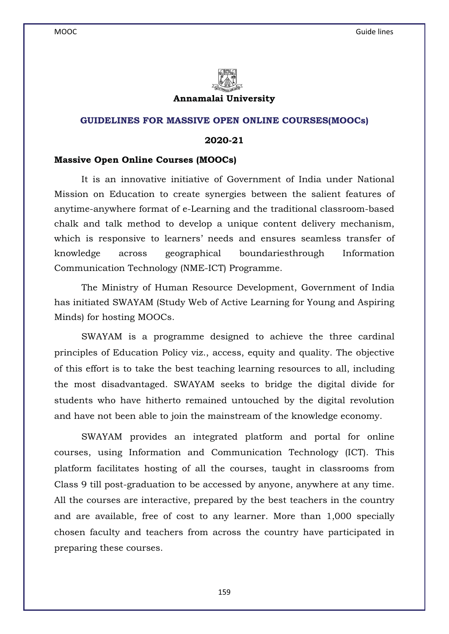

### **Annamalai University**

## **GUIDELINES FOR MASSIVE OPEN ONLINE COURSES(MOOCs)**

## **2020-21**

### **Massive Open Online Courses (MOOCs)**

 It is an innovative initiative of Government of India under National Mission on Education to create synergies between the salient features of anytime-anywhere format of e-Learning and the traditional classroom-based chalk and talk method to develop a unique content delivery mechanism, which is responsive to learners' needs and ensures seamless transfer of knowledge across geographical boundariesthrough Information Communication Technology (NME-ICT) Programme.

 The Ministry of Human Resource Development, Government of India has initiated SWAYAM (Study Web of Active Learning for Young and Aspiring Minds) for hosting MOOCs.

 SWAYAM is a programme designed to achieve the three cardinal principles of Education Policy viz., access, equity and quality. The objective of this effort is to take the best teaching learning resources to all, including the most disadvantaged. SWAYAM seeks to bridge the digital divide for students who have hitherto remained untouched by the digital revolution and have not been able to join the mainstream of the knowledge economy.

 SWAYAM provides an integrated platform and portal for online courses, using Information and Communication Technology (ICT). This platform facilitates hosting of all the courses, taught in classrooms from Class 9 till post-graduation to be accessed by anyone, anywhere at any time. All the courses are interactive, prepared by the best teachers in the country and are available, free of cost to any learner. More than 1,000 specially chosen faculty and teachers from across the country have participated in preparing these courses.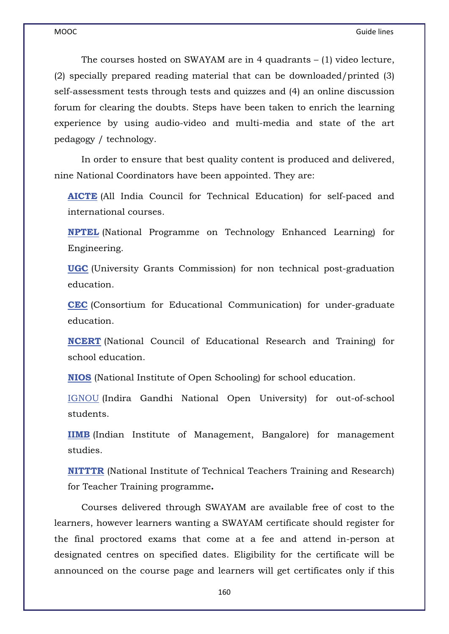The courses hosted on SWAYAM are in 4 quadrants – (1) video lecture, (2) specially prepared reading material that can be downloaded/printed (3) self-assessment tests through tests and quizzes and (4) an online discussion forum for clearing the doubts. Steps have been taken to enrich the learning experience by using audio-video and multi-media and state of the art pedagogy / technology.

 In order to ensure that best quality content is produced and delivered, nine National Coordinators have been appointed. They are:

**AICTE** (All India Council for Technical Education) for self-paced and international courses.

**NPTEL** (National Programme on Technology Enhanced Learning) for Engineering.

**UGC** (University Grants Commission) for non technical post-graduation education.

**CEC** (Consortium for Educational Communication) for under-graduate education.

**NCERT** (National Council of Educational Research and Training) for school education.

**NIOS** (National Institute of Open Schooling) for school education.

IGNOU (Indira Gandhi National Open University) for out-of-school students.

**IIMB** (Indian Institute of Management, Bangalore) for management studies.

**NITTTR** (National Institute of Technical Teachers Training and Research) for Teacher Training programme**.** 

 Courses delivered through SWAYAM are available free of cost to the learners, however learners wanting a SWAYAM certificate should register for the final proctored exams that come at a fee and attend in-person at designated centres on specified dates. Eligibility for the certificate will be announced on the course page and learners will get certificates only if this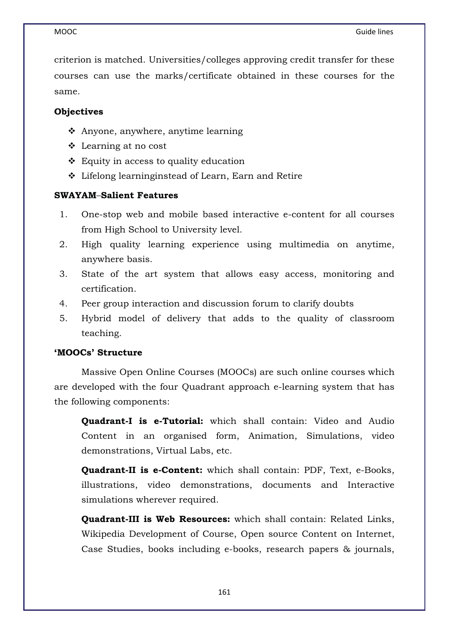criterion is matched. Universities/colleges approving credit transfer for these courses can use the marks/certificate obtained in these courses for the same.

# **Objectives**

- Anyone, anywhere, anytime learning
- Learning at no cost
- Equity in access to quality education
- Lifelong learninginstead of Learn, Earn and Retire

# **SWAYAM**–**Salient Features**

- 1. One-stop web and mobile based interactive e-content for all courses from High School to University level.
- 2. High quality learning experience using multimedia on anytime, anywhere basis.
- 3. State of the art system that allows easy access, monitoring and certification.
- 4. Peer group interaction and discussion forum to clarify doubts
- 5. Hybrid model of delivery that adds to the quality of classroom teaching.

# **'MOOCs' Structure**

 Massive Open Online Courses (MOOCs) are such online courses which are developed with the four Quadrant approach e-learning system that has the following components:

**Quadrant-I is e-Tutorial:** which shall contain: Video and Audio Content in an organised form, Animation, Simulations, video demonstrations, Virtual Labs, etc.

**Quadrant-II is e-Content:** which shall contain: PDF, Text, e-Books, illustrations, video demonstrations, documents and Interactive simulations wherever required.

**Quadrant-III is Web Resources:** which shall contain: Related Links, Wikipedia Development of Course, Open source Content on Internet, Case Studies, books including e-books, research papers & journals,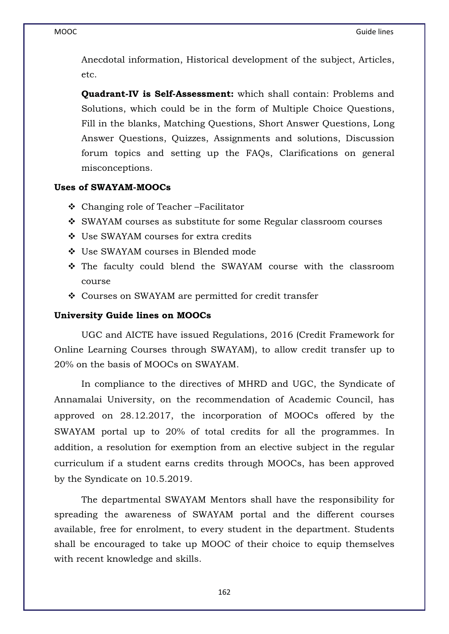Anecdotal information, Historical development of the subject, Articles, etc.

**Quadrant-IV is Self-Assessment:** which shall contain: Problems and Solutions, which could be in the form of Multiple Choice Questions, Fill in the blanks, Matching Questions, Short Answer Questions, Long Answer Questions, Quizzes, Assignments and solutions, Discussion forum topics and setting up the FAQs, Clarifications on general misconceptions.

# **Uses of SWAYAM-MOOCs**

- Changing role of Teacher –Facilitator
- \* SWAYAM courses as substitute for some Regular classroom courses
- Use SWAYAM courses for extra credits
- Use SWAYAM courses in Blended mode
- The faculty could blend the SWAYAM course with the classroom course
- Courses on SWAYAM are permitted for credit transfer

# **University Guide lines on MOOCs**

 UGC and AICTE have issued Regulations, 2016 (Credit Framework for Online Learning Courses through SWAYAM), to allow credit transfer up to 20% on the basis of MOOCs on SWAYAM.

 In compliance to the directives of MHRD and UGC, the Syndicate of Annamalai University, on the recommendation of Academic Council, has approved on 28.12.2017, the incorporation of MOOCs offered by the SWAYAM portal up to 20% of total credits for all the programmes. In addition, a resolution for exemption from an elective subject in the regular curriculum if a student earns credits through MOOCs, has been approved by the Syndicate on 10.5.2019.

 The departmental SWAYAM Mentors shall have the responsibility for spreading the awareness of SWAYAM portal and the different courses available, free for enrolment, to every student in the department. Students shall be encouraged to take up MOOC of their choice to equip themselves with recent knowledge and skills.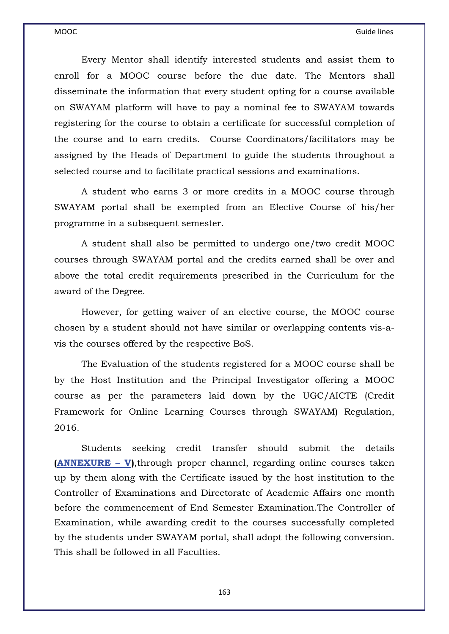Every Mentor shall identify interested students and assist them to enroll for a MOOC course before the due date. The Mentors shall disseminate the information that every student opting for a course available on SWAYAM platform will have to pay a nominal fee to SWAYAM towards registering for the course to obtain a certificate for successful completion of the course and to earn credits. Course Coordinators/facilitators may be assigned by the Heads of Department to guide the students throughout a selected course and to facilitate practical sessions and examinations.

 A student who earns 3 or more credits in a MOOC course through SWAYAM portal shall be exempted from an Elective Course of his/her programme in a subsequent semester.

 A student shall also be permitted to undergo one/two credit MOOC courses through SWAYAM portal and the credits earned shall be over and above the total credit requirements prescribed in the Curriculum for the award of the Degree.

 However, for getting waiver of an elective course, the MOOC course chosen by a student should not have similar or overlapping contents vis-avis the courses offered by the respective BoS.

 The Evaluation of the students registered for a MOOC course shall be by the Host Institution and the Principal Investigator offering a MOOC course as per the parameters laid down by the UGC/AICTE (Credit Framework for Online Learning Courses through SWAYAM) Regulation, 2016.

 Students seeking credit transfer should submit the details **(ANNEXURE – V)**, through proper channel, regarding online courses taken up by them along with the Certificate issued by the host institution to the Controller of Examinations and Directorate of Academic Affairs one month before the commencement of End Semester Examination.The Controller of Examination, while awarding credit to the courses successfully completed by the students under SWAYAM portal, shall adopt the following conversion. This shall be followed in all Faculties.